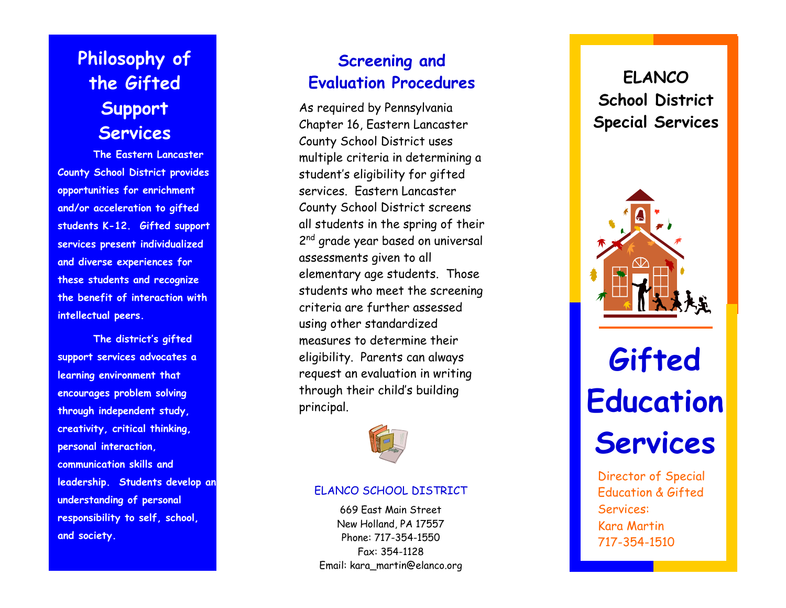**Philosophy of the Gifted Support Services** 

**The Eastern Lancaster County School District provides opportunities for enrichment and/or acceleration to gifted students K-12. Gifted support services present individualized and diverse experiences for these students and recognize the benefit of interaction with intellectual peers.** 

**The district's gifted support services advocates a learning environment that encourages problem solving through independent study, creativity, critical thinking, personal interaction, communication skills and leadership. Students develop an understanding of personal responsibility to self, school, and society.** 

### **Screening and Evaluation Procedures**

As required by Pennsylvania Chapter 16, Eastern Lancaster County School District uses multiple criteria in determining a student's eligibility for gifted services. Eastern Lancaster County School District screens all students in the spring of their 2<sup>nd</sup> grade year based on universal assessments given to all elementary age students. Those students who meet the screening criteria are further assessed using other standardized measures to determine their eligibility. Parents can always request an evaluation in writing through their child's building principal.



#### ELANCO SCHOOL DISTRICT

669 East Main Street New Holland, PA 17557 Phone: 717-354-1550 Fax: 354-1128 Email: kara\_martin@elanco.org

## **ELANCOSchool District Special Services**



# **Gifted Education Services**

Director of Special Education & Gifted Services: Kara Martin 717-354-1510